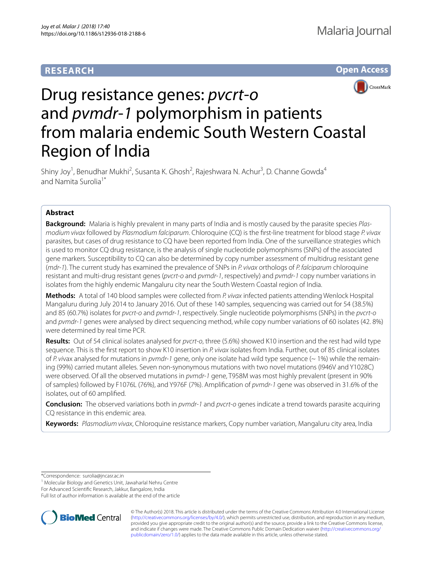# **RESEARCH**





# Drug resistance genes: *pvcrt*-*o* and *pvmdr*-*1* polymorphism in patients from malaria endemic South Western Coastal Region of India

Shiny Joy<sup>1</sup>, Benudhar Mukhi<sup>2</sup>, Susanta K. Ghosh<sup>2</sup>, Rajeshwara N. Achur<sup>3</sup>, D. Channe Gowda<sup>4</sup> and Namita Surolia<sup>1\*</sup>

# **Abstract**

**Background:** Malaria is highly prevalent in many parts of India and is mostly caused by the parasite species *Plasmodium vivax* followed by *Plasmodium falciparum*. Chloroquine (CQ) is the frst-line treatment for blood stage *P. vivax* parasites, but cases of drug resistance to CQ have been reported from India. One of the surveillance strategies which is used to monitor CQ drug resistance, is the analysis of single nucleotide polymorphisms (SNPs) of the associated gene markers. Susceptibility to CQ can also be determined by copy number assessment of multidrug resistant gene (*mdr*-*1*). The current study has examined the prevalence of SNPs in *P. vivax* orthologs of *P. falciparum* chloroquine resistant and multi-drug resistant genes (*pvcrt*-*o* and *pvmdr*-*1*, respectively) and *pvmdr*-*1* copy number variations in isolates from the highly endemic Mangaluru city near the South Western Coastal region of India.

**Methods:** A total of 140 blood samples were collected from *P. vivax* infected patients attending Wenlock Hospital Mangaluru during July 2014 to January 2016. Out of these 140 samples, sequencing was carried out for 54 (38.5%) and 85 (60.7%) isolates for *pvcrt*-*o* and *pvmdr*-*1*, respectively. Single nucleotide polymorphisms (SNPs) in the *pvcrt*-*o* and *pvmdr*-*1* genes were analysed by direct sequencing method, while copy number variations of 60 isolates (42. 8%) were determined by real time PCR.

**Results:** Out of 54 clinical isolates analysed for *pvcrt*-*o*, three (5.6%) showed K10 insertion and the rest had wild type sequence. This is the frst report to show K10 insertion in *P. vivax* isolates from India. Further, out of 85 clinical isolates of *P. vi*vax analysed for mutations in *pvmdr*-*1* gene, only one isolate had wild type sequence (~ 1%) while the remaining (99%) carried mutant alleles. Seven non-synonymous mutations with two novel mutations (I946V and Y1028C) were observed. Of all the observed mutations in *pvmdr*-*1* gene, T958M was most highly prevalent (present in 90% of samples) followed by F1076L (76%), and Y976F (7%). Amplifcation of *pvmdr*-*1* gene was observed in 31.6% of the isolates, out of 60 amplifed.

**Conclusion:** The observed variations both in *pvmdr*-*1* and *pvcrt*-*o* genes indicate a trend towards parasite acquiring CQ resistance in this endemic area.

**Keywords:** *Plasmodium vivax*, Chloroquine resistance markers, Copy number variation, Mangaluru city area, India

\*Correspondence: surolia@jncasr.ac.in

<sup>1</sup> Molecular Biology and Genetics Unit, Jawaharlal Nehru Centre

For Advanced Scientifc Research, Jakkur, Bangalore, India

Full list of author information is available at the end of the article



© The Author(s) 2018. This article is distributed under the terms of the Creative Commons Attribution 4.0 International License [\(http://creativecommons.org/licenses/by/4.0/\)](http://creativecommons.org/licenses/by/4.0/), which permits unrestricted use, distribution, and reproduction in any medium, provided you give appropriate credit to the original author(s) and the source, provide a link to the Creative Commons license, and indicate if changes were made. The Creative Commons Public Domain Dedication waiver ([http://creativecommons.org/](http://creativecommons.org/publicdomain/zero/1.0/) [publicdomain/zero/1.0/](http://creativecommons.org/publicdomain/zero/1.0/)) applies to the data made available in this article, unless otherwise stated.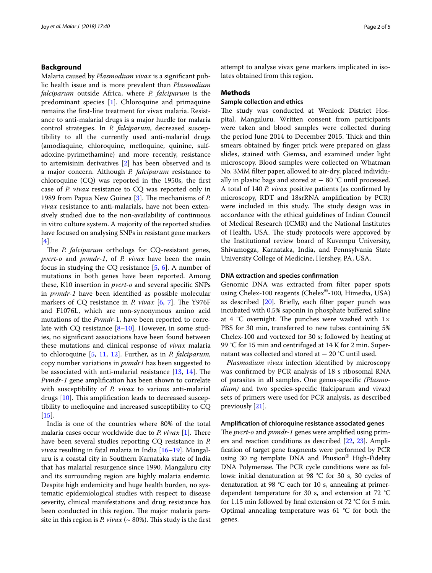## **Background**

Malaria caused by *Plasmodium vivax* is a signifcant public health issue and is more prevalent than *Plasmodium falciparum* outside Africa, where *P. falciparum* is the predominant species [[1\]](#page-4-0). Chloroquine and primaquine remains the frst-line treatment for vivax malaria. Resistance to anti-malarial drugs is a major hurdle for malaria control strategies. In *P. falciparum*, decreased susceptibility to all the currently used anti-malarial drugs (amodiaquine, chloroquine, mefoquine, quinine, sulfadoxine-pyrimethamine) and more recently, resistance to artemisinin derivatives [[2\]](#page-4-1) has been observed and is a major concern. Although *P. falciparum* resistance to chloroquine (CQ) was reported in the 1950s, the frst case of *P. vivax* resistance to CQ was reported only in 1989 from Papua New Guinea [[3\]](#page-4-2). The mechanisms of *P*. *vivax* resistance to anti-malarials, have not been extensively studied due to the non-availability of continuous in vitro culture system. A majority of the reported studies have focused on analysing SNPs in resistant gene markers [[4\]](#page-4-3).

The *P. falciparum* orthologs for CQ-resistant genes, *pvcrt*-*o* and *pvmdr*-*1*, of *P. vivax* have been the main focus in studying the CQ resistance [\[5](#page-4-4), [6\]](#page-4-5). A number of mutations in both genes have been reported. Among these, K10 insertion in *pvcrt*-*o* and several specifc SNPs in *pvmdr*-*1* have been identifed as possible molecular markers of CQ resistance in *P. vivax* [[6,](#page-4-5) [7\]](#page-4-6). The Y976F and F1076L, which are non-synonymous amino acid mutations of the *Pvmdr*-1, have been reported to correlate with CQ resistance  $[8-10]$  $[8-10]$ . However, in some studies, no signifcant associations have been found between these mutations and clinical response of *vivax* malaria to chloroquine [[5,](#page-4-4) [11,](#page-4-9) [12\]](#page-4-10). Further, as in *P. falciparum*, copy number variations in *pvmdr1* has been suggested to be associated with anti-malarial resistance  $[13, 14]$  $[13, 14]$  $[13, 14]$  $[13, 14]$  $[13, 14]$ . The *Pvmdr*-*1* gene amplifcation has been shown to correlate with susceptibility of *P. vivax* to various anti-malarial drugs  $[10]$  $[10]$ . This amplification leads to decreased susceptibility to mefoquine and increased susceptibility to CQ [[15\]](#page-4-13).

India is one of the countries where 80% of the total malaria cases occur worldwide due to *P. vivax* [[1\]](#page-4-0). There have been several studies reporting CQ resistance in *P. vivax* resulting in fatal malaria in India [\[16](#page-4-14)[–19](#page-4-15)]. Mangaluru is a coastal city in Southern Karnataka state of India that has malarial resurgence since 1990. Mangaluru city and its surrounding region are highly malaria endemic. Despite high endemicity and huge health burden, no systematic epidemiological studies with respect to disease severity, clinical manifestations and drug resistance has been conducted in this region. The major malaria parasite in this region is *P. vivax* ( $\sim$  80%). This study is the first attempt to analyse vivax gene markers implicated in isolates obtained from this region.

#### **Methods**

## **Sample collection and ethics**

The study was conducted at Wenlock District Hospital, Mangaluru. Written consent from participants were taken and blood samples were collected during the period June 2014 to December 2015. Thick and thin smears obtained by fnger prick were prepared on glass slides, stained with Giemsa, and examined under light microscopy. Blood samples were collected on Whatman No. 3MM flter paper, allowed to air-dry, placed individually in plastic bags and stored at  $-$  80 °C until processed. A total of 140 *P. vivax* positive patients (as confrmed by microscopy, RDT and 18srRNA amplifcation by PCR) were included in this study. The study design was in accordance with the ethical guidelines of Indian Council of Medical Research (ICMR) and the National Institutes of Health, USA. The study protocols were approved by the Institutional review board of Kuvempu University, Shivamogga, Karnataka, India, and Pennsylvania State University College of Medicine, Hershey, PA, USA.

## **DNA extraction and species confrmation**

Genomic DNA was extracted from flter paper spots using Chelex-100 reagents (Chelex®-100, Himedia, USA) as described [\[20\]](#page-4-16). Briefy, each flter paper punch was incubated with 0.5% saponin in phosphate buffered saline at 4  $°C$  overnight. The punches were washed with  $1 \times$ PBS for 30 min, transferred to new tubes containing 5% Chelex-100 and vortexed for 30 s; followed by heating at 99 °C for 15 min and centrifuged at 14 K for 2 min. Supernatant was collected and stored at − 20 °C until used.

*Plasmodium vivax* infection identifed by microscopy was confrmed by PCR analysis of 18 s ribosomal RNA of parasites in all samples. One genus-specifc *(Plasmodium)* and two species-specifc (falciparum and vivax) sets of primers were used for PCR analysis, as described previously [\[21](#page-4-17)].

#### **Amplifcation of chloroquine resistance associated genes**

The *pvcrt-o* and *pvmdr-1* genes were amplified using primers and reaction conditions as described [[22](#page-4-18), [23](#page-4-19)]. Amplifcation of target gene fragments were performed by PCR using 30 ng template DNA and Phusion<sup>®</sup> High-Fidelity DNA Polymerase. The PCR cycle conditions were as follows: initial denaturation at 98 °C for 30 s, 30 cycles of denaturation at 98 °C each for 10 s, annealing at primerdependent temperature for 30 s, and extension at 72 °C for 1.15 min followed by fnal extension of 72 °C for 5 min. Optimal annealing temperature was  $61 °C$  for both the genes.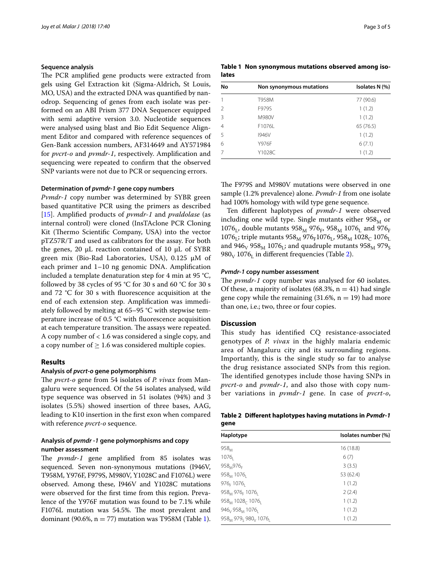## **Sequence analysis**

The PCR amplified gene products were extracted from gels using Gel Extraction kit (Sigma-Aldrich, St Louis, MO, USA) and the extracted DNA was quantifed by nanodrop. Sequencing of genes from each isolate was performed on an ABI Prism 377 DNA Sequencer equipped with semi adaptive version 3.0. Nucleotide sequences were analysed using blast and Bio Edit Sequence Alignment Editor and compared with reference sequences of Gen-Bank accession numbers, AF314649 and AY571984 for *pvcrt*-*o* and *pvmdr*-*1*, respectively. Amplifcation and sequencing were repeated to confrm that the observed SNP variants were not due to PCR or sequencing errors.

## **Determination of** *pvmdr***‑***1* **gene copy numbers**

*Pvmdr*-*1* copy number was determined by SYBR green based quantitative PCR using the primers as described [[15\]](#page-4-13). Amplifed products of *pvmdr*-*1* and *pvaldolase* (as internal control) were cloned (InsTAclone PCR Cloning Kit (Thermo Scientific Company, USA) into the vector pTZ57R/T and used as calibrators for the assay. For both the genes, 20  $\mu$ L reaction contained of 10  $\mu$ L of SYBR green mix (Bio-Rad Laboratories, USA), 0.125 µM of each primer and 1–10 ng genomic DNA. Amplifcation included a template denaturation step for 4 min at 95 °C, followed by 38 cycles of 95 °C for 30 s and 60 °C for 30 s and 72 °C for 30 s with fuorescence acquisition at the end of each extension step. Amplifcation was immediately followed by melting at 65–95 °C with stepwise temperature increase of 0.5 °C with fuorescence acquisition at each temperature transition. The assays were repeated. A copy number of < 1.6 was considered a single copy, and a copy number of  $\geq 1.6$  was considered multiple copies.

## **Results**

## **Analysis of** *pvcrt***‑***o* **gene polymorphisms**

The *pvcrt-o* gene from 54 isolates of *P. vivax* from Mangaluru were sequenced. Of the 54 isolates analysed, wild type sequence was observed in 51 isolates (94%) and 3 isolates (5.5%) showed insertion of three bases, AAG, leading to K10 insertion in the frst exon when compared with reference *pvcrt*-*o* sequence.

## **Analysis of** *pvmdr* **‑***1* **gene polymorphisms and copy number assessment**

The *pvmdr-1* gene amplified from 85 isolates was sequenced. Seven non-synonymous mutations (I946V, T958M, Y976F, F979S, M980V, Y1028C and F1076L) were observed. Among these, I946V and Y1028C mutations were observed for the frst time from this region. Prevalence of the Y976F mutation was found to be 7.1% while F1076L mutation was 54.5%. The most prevalent and dominant (90.6%,  $n = 77$ ) mutation was T958M (Table [1](#page-2-0)).

<span id="page-2-0"></span>**Table 1 Non synonymous mutations observed among isolates**

| No | Non synonymous mutations | Isolates N (%) |
|----|--------------------------|----------------|
| 1  | T958M                    | 77 (90.6)      |
| 2  | F979S                    | 1(1.2)         |
| 3  | M980V                    | 1(1.2)         |
| 4  | F1076L                   | 65 (76.5)      |
| 5  | 1946V                    | 1(1.2)         |
| 6  | Y976F                    | 6(7.1)         |
| 7  | Y1028C                   | 1(1.2)         |

The F979S and M980V mutations were observed in one sample (1.2% prevalence) alone. *Pvmdr*-*1* from one isolate had 100% homology with wild type gene sequence.

Ten diferent haplotypes of *pvmdr*-*1* were observed including one wild type. Single mutants either  $958<sub>M</sub>$  or 1076<sub>L</sub>, double mutants  $958_M$   $976_F$ ,  $958_M$   $1076_L$  and  $976_F$ 1076<sub>L</sub>; triple mutants  $958_M 976_F 1076_L$ ,  $958_M 1028_C 1076_L$ and 946<sub>V</sub> 958<sub>M</sub> 1076<sub>1</sub>; and quadruple mutants 958<sub>M</sub> 979<sub>S</sub>  $980<sub>V</sub>$  1076<sub>L</sub> in different frequencies (Table [2](#page-2-1)).

#### *Pvmdr***‑***1* **copy number assessment**

The *pvmdr-1* copy number was analysed for 60 isolates. Of these, a majority of isolates (68.3%,  $n = 41$ ) had single gene copy while the remaining  $(31.6\%, n = 19)$  had more than one, i.e.; two, three or four copies.

## **Discussion**

This study has identified CQ resistance-associated genotypes of *P. vivax* in the highly malaria endemic area of Mangaluru city and its surrounding regions. Importantly, this is the single study so far to analyse the drug resistance associated SNPs from this region. The identified genotypes include those having SNPs in *pvcrt*-*o* and *pvmdr*-*1*, and also those with copy number variations in *pvmdr*-*1* gene. In case of *pvcrt*-*o*,

<span id="page-2-1"></span>

|      | Table 2 Different haplotypes having mutations in Pvmdr-1 |
|------|----------------------------------------------------------|
| gene |                                                          |

| Haplotype                                               | Isolates number (%) |  |
|---------------------------------------------------------|---------------------|--|
| $958_M$                                                 | 16(18.8)            |  |
| $1076_1$                                                | 6(7)                |  |
| 958 <sub>M</sub> 976 <sub>F</sub>                       | 3(3.5)              |  |
| $958_M 1076_1$                                          | 53 (62.4)           |  |
| 976 <sub>F</sub> 1076 <sub>I</sub>                      | 1(1.2)              |  |
| 958 <sub>M</sub> 976 <sub>F</sub> 1076 <sub>I</sub>     | 2(2.4)              |  |
| $958_M$ 1028 <sub>c</sub> 1076 <sub>i</sub>             | 1(1.2)              |  |
| 946 <sub>v</sub> 958 <sub>M</sub> 1076 <sub>l</sub>     | 1(1.2)              |  |
| 958 <sub>M</sub> 979 <sub>s</sub> 980 <sub>V</sub> 1076 | 1(1.2)              |  |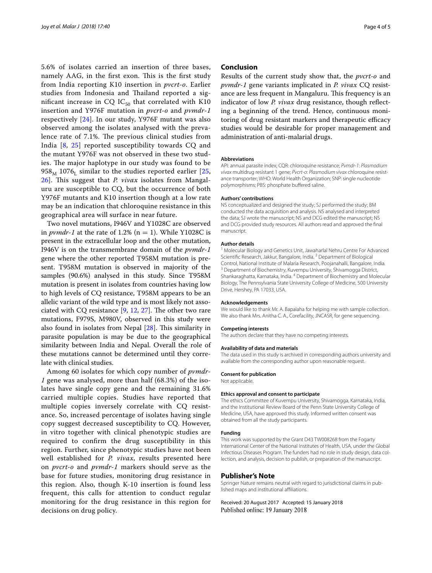5.6% of isolates carried an insertion of three bases, namely AAG, in the first exon. This is the first study from India reporting K10 insertion in *pvcrt*-*o*. Earlier studies from Indonesia and Thailand reported a significant increase in CQ  $IC_{50}$  that correlated with K10 insertion and Y976F mutation in *pvcrt*-*o* and *pvmdr*-*1* respectively [\[24\]](#page-4-20). In our study, Y976F mutant was also observed among the isolates analysed with the prevalence rate of 7.1%. The previous clinical studies from India [\[8](#page-4-7), [25](#page-4-21)] reported susceptibility towards CQ and the mutant Y976F was not observed in these two studies. The major haplotype in our study was found to be  $958<sub>M</sub>$  1076<sub>I</sub> similar to the studies reported earlier [\[25](#page-4-21), [26\]](#page-4-22). This suggest that *P. vivax* isolates from Mangaluru are susceptible to CQ, but the occurrence of both Y976F mutants and K10 insertion though at a low rate may be an indication that chloroquine resistance in this geographical area will surface in near future.

Two novel mutations, I946V and Y1028C are observed in *pvmdr-1* at the rate of 1.2% ( $n = 1$ ). While Y1028C is present in the extracellular loop and the other mutation, I946V is on the transmembrane domain of the *pvmdr*-*1* gene where the other reported T958M mutation is present. T958M mutation is observed in majority of the samples (90.6%) analysed in this study. Since T958M mutation is present in isolates from countries having low to high levels of CQ resistance, T958M appears to be an allelic variant of the wild type and is most likely not associated with CQ resistance  $[9, 12, 27]$  $[9, 12, 27]$  $[9, 12, 27]$  $[9, 12, 27]$  $[9, 12, 27]$  $[9, 12, 27]$ . The other two rare mutations, F979S, M980V, observed in this study were also found in isolates from Nepal  $[28]$  $[28]$ . This similarity in parasite population is may be due to the geographical similarity between India and Nepal. Overall the role of these mutations cannot be determined until they correlate with clinical studies.

Among 60 isolates for which copy number of *pvmdr*-*1* gene was analysed, more than half (68.3%) of the isolates have single copy gene and the remaining 31.6% carried multiple copies. Studies have reported that multiple copies inversely correlate with CQ resistance. So, increased percentage of isolates having single copy suggest decreased susceptibility to CQ. However, in vitro together with clinical phenotypic studies are required to confrm the drug susceptibility in this region. Further, since phenotypic studies have not been well established for *P. vivax*, results presented here on *pvcrt*-*o* and *pvmdr*-*1* markers should serve as the base for future studies, monitoring drug resistance in this region. Also, though K-10 insertion is found less frequent, this calls for attention to conduct regular monitoring for the drug resistance in this region for decisions on drug policy.

## **Conclusion**

Results of the current study show that, the *pvcrt*-*o* and *pvmdr*-*1* gene variants implicated in *P. vivax* CQ resistance are less frequent in Mangaluru. This frequency is an indicator of low *P. vivax* drug resistance, though reflecting a beginning of the trend. Hence, continuous monitoring of drug resistant markers and therapeutic efficacy studies would be desirable for proper management and administration of anti-malarial drugs.

#### **Abbreviations**

API: annual parasite index; CQR: chloroquine resistance; *Pvmdr*-*1*: *Plasmodium vivax* multidrug resistant 1 gene; *Pvcrt*-*o*: *Plasmodium vivax* chloroquine resistance transporter; WHO: World Health Organization; SNP: single nucleotide polymorphisms; PBS: phosphate buffered saline.

#### **Authors' contributions**

NS conceptualized and designed the study; SJ performed the study; BM conducted the data acquisition and analysis. NS analysed and interpreted the data; SJ wrote the manuscript; NS and DCG edited the manuscript; NS and DCG provided study resources. All authors read and approved the fnal manuscript.

#### **Author details**

<sup>1</sup> Molecular Biology and Genetics Unit, Jawaharlal Nehru Centre For Advanced Scientifc Research, Jakkur, Bangalore, India. <sup>2</sup> Department of Biological Control, National Institute of Malaria Research, Poojanahalli, Bangalore, India. 3 Department of Biochemistry, Kuvempu University, Shivamogga District, Shankaraghatta, Karnataka, India. <sup>4</sup> Department of Biochemistry and Molecular Biology, The Pennsylvania State University College of Medicine, 500 University Drive, Hershey, PA 17033, USA.

#### **Acknowledgements**

We would like to thank Mr. A. Bapaiaha for helping me with sample collection. We also thank Mrs. Anitha C. A., Corefacility, JNCASR, for gene sequencing.

#### **Competing interests**

The authors declare that they have no competing interests.

#### **Availability of data and materials**

The data used in this study is archived in corresponding authors university and available from the corresponding author upon reasonable request.

#### **Consent for publication**

Not applicable.

#### **Ethics approval and consent to participate**

The ethics Committee of Kuvempu University, Shivamogga, Karnataka, India, and the Institutional Review Board of the Penn State University College of Medicine, USA, have approved this study. Informed written consent was obtained from all the study participants.

#### **Funding**

This work was supported by the Grant D43 TW008268 from the Fogarty International Center of the National Institutes of Health, USA, under the Global Infectious Diseases Program. The funders had no role in study design, data collection, and analysis, decision to publish, or preparation of the manuscript.

#### **Publisher's Note**

Springer Nature remains neutral with regard to jurisdictional claims in published maps and institutional afliations.

Received: 20 August 2017 Accepted: 15 January 2018Published online: 19 January 2018